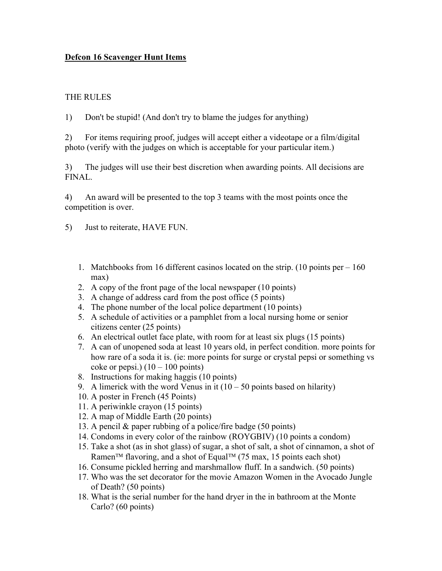## Defcon 16 Scavenger Hunt Items

## THE RULES

1) Don't be stupid! (And don't try to blame the judges for anything)

2) For items requiring proof, judges will accept either a videotape or a film/digital photo (verify with the judges on which is acceptable for your particular item.)

3) The judges will use their best discretion when awarding points. All decisions are FINAL.

4) An award will be presented to the top 3 teams with the most points once the competition is over.

5) Just to reiterate, HAVE FUN.

- 1. Matchbooks from 16 different casinos located on the strip. (10 points per  $-160$ ) max)
- 2. A copy of the front page of the local newspaper (10 points)
- 3. A change of address card from the post office (5 points)
- 4. The phone number of the local police department (10 points)
- 5. A schedule of activities or a pamphlet from a local nursing home or senior citizens center (25 points)
- 6. An electrical outlet face plate, with room for at least six plugs (15 points)
- 7. A can of unopened soda at least 10 years old, in perfect condition. more points for how rare of a soda it is. (ie: more points for surge or crystal pepsi or something vs coke or pepsi.)  $(10 - 100 \text{ points})$
- 8. Instructions for making haggis (10 points)
- 9. A limerick with the word Venus in it  $(10 50)$  points based on hilarity)
- 10. A poster in French (45 Points)
- 11. A periwinkle crayon (15 points)
- 12. A map of Middle Earth (20 points)
- 13. A pencil & paper rubbing of a police/fire badge (50 points)
- 14. Condoms in every color of the rainbow (ROYGBIV) (10 points a condom)
- 15. Take a shot (as in shot glass) of sugar, a shot of salt, a shot of cinnamon, a shot of Ramen<sup>TM</sup> flavoring, and a shot of Equal<sup>TM</sup> (75 max, 15 points each shot)
- 16. Consume pickled herring and marshmallow fluff. In a sandwich. (50 points)
- 17. Who was the set decorator for the movie Amazon Women in the Avocado Jungle of Death? (50 points)
- 18. What is the serial number for the hand dryer in the in bathroom at the Monte Carlo? (60 points)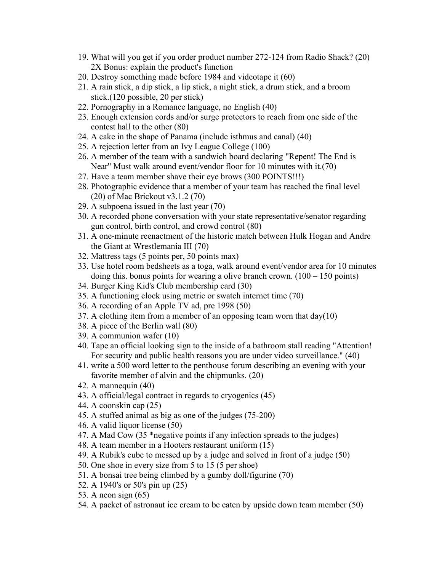- 19. What will you get if you order product number 272-124 from Radio Shack? (20) 2X Bonus: explain the product's function
- 20. Destroy something made before 1984 and videotape it (60)
- 21. A rain stick, a dip stick, a lip stick, a night stick, a drum stick, and a broom stick.(120 possible, 20 per stick)
- 22. Pornography in a Romance language, no English (40)
- 23. Enough extension cords and/or surge protectors to reach from one side of the contest hall to the other (80)
- 24. A cake in the shape of Panama (include isthmus and canal) (40)
- 25. A rejection letter from an Ivy League College (100)
- 26. A member of the team with a sandwich board declaring "Repent! The End is Near" Must walk around event/vendor floor for 10 minutes with it.(70)
- 27. Have a team member shave their eye brows (300 POINTS!!!)
- 28. Photographic evidence that a member of your team has reached the final level (20) of Mac Brickout v3.1.2 (70)
- 29. A subpoena issued in the last year (70)
- 30. A recorded phone conversation with your state representative/senator regarding gun control, birth control, and crowd control (80)
- 31. A one-minute reenactment of the historic match between Hulk Hogan and Andre the Giant at Wrestlemania III (70)
- 32. Mattress tags (5 points per, 50 points max)
- 33. Use hotel room bedsheets as a toga, walk around event/vendor area for 10 minutes doing this. bonus points for wearing a olive branch crown.  $(100 - 150 \text{ points})$
- 34. Burger King Kid's Club membership card (30)
- 35. A functioning clock using metric or swatch internet time (70)
- 36. A recording of an Apple TV ad, pre 1998 (50)
- 37. A clothing item from a member of an opposing team worn that day(10)
- 38. A piece of the Berlin wall (80)
- 39. A communion wafer (10)
- 40. Tape an official looking sign to the inside of a bathroom stall reading "Attention! For security and public health reasons you are under video surveillance." (40)
- 41. write a 500 word letter to the penthouse forum describing an evening with your favorite member of alvin and the chipmunks. (20)
- 42. A mannequin (40)
- 43. A official/legal contract in regards to cryogenics (45)
- 44. A coonskin cap (25)
- 45. A stuffed animal as big as one of the judges (75-200)
- 46. A valid liquor license (50)
- 47. A Mad Cow (35 \*negative points if any infection spreads to the judges)
- 48. A team member in a Hooters restaurant uniform (15)
- 49. A Rubik's cube to messed up by a judge and solved in front of a judge (50)
- 50. One shoe in every size from 5 to 15 (5 per shoe)
- 51. A bonsai tree being climbed by a gumby doll/figurine (70)
- 52. A 1940's or 50's pin up (25)
- 53. A neon sign (65)
- 54. A packet of astronaut ice cream to be eaten by upside down team member (50)